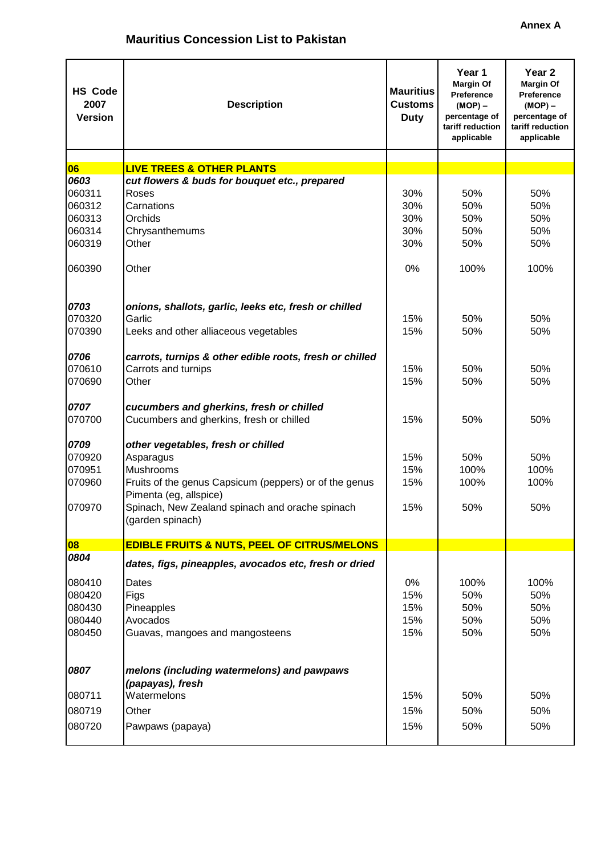| <b>HS Code</b><br>2007<br><b>Version</b> | <b>Description</b>                                                                   | <b>Mauritius</b><br><b>Customs</b><br><b>Duty</b> | Year 1<br><b>Margin Of</b><br>Preference<br>$(MOP) -$<br>percentage of<br>tariff reduction<br>applicable | Year <sub>2</sub><br><b>Margin Of</b><br>Preference<br>$(MOP)$ –<br>percentage of<br>tariff reduction<br>applicable |
|------------------------------------------|--------------------------------------------------------------------------------------|---------------------------------------------------|----------------------------------------------------------------------------------------------------------|---------------------------------------------------------------------------------------------------------------------|
|                                          |                                                                                      |                                                   |                                                                                                          |                                                                                                                     |
| 06                                       | <b>LIVE TREES &amp; OTHER PLANTS</b>                                                 |                                                   |                                                                                                          |                                                                                                                     |
| 0603<br>060311                           | cut flowers & buds for bouquet etc., prepared                                        | 30%                                               |                                                                                                          | 50%                                                                                                                 |
| 060312                                   | Roses<br>Carnations                                                                  | 30%                                               | 50%<br>50%                                                                                               | 50%                                                                                                                 |
| 060313                                   | Orchids                                                                              | 30%                                               | 50%                                                                                                      | 50%                                                                                                                 |
| 060314                                   |                                                                                      | 30%                                               | 50%                                                                                                      | 50%                                                                                                                 |
| 060319                                   | Chrysanthemums<br>Other                                                              | 30%                                               | 50%                                                                                                      | 50%                                                                                                                 |
|                                          |                                                                                      |                                                   |                                                                                                          |                                                                                                                     |
| 060390                                   | Other                                                                                | 0%                                                | 100%                                                                                                     | 100%                                                                                                                |
| 0703                                     | onions, shallots, garlic, leeks etc, fresh or chilled                                |                                                   |                                                                                                          |                                                                                                                     |
| 070320                                   | Garlic                                                                               | 15%                                               | 50%                                                                                                      | 50%                                                                                                                 |
| 070390                                   | Leeks and other alliaceous vegetables                                                | 15%                                               | 50%                                                                                                      | 50%                                                                                                                 |
| 0706                                     | carrots, turnips & other edible roots, fresh or chilled                              |                                                   |                                                                                                          |                                                                                                                     |
| 070610                                   | Carrots and turnips                                                                  | 15%                                               | 50%                                                                                                      | 50%                                                                                                                 |
| 070690                                   | Other                                                                                | 15%                                               | 50%                                                                                                      | 50%                                                                                                                 |
| 0707<br>070700                           | cucumbers and gherkins, fresh or chilled<br>Cucumbers and gherkins, fresh or chilled | 15%                                               | 50%                                                                                                      | 50%                                                                                                                 |
| 0709                                     | other vegetables, fresh or chilled                                                   |                                                   |                                                                                                          |                                                                                                                     |
| 070920                                   | Asparagus                                                                            | 15%                                               | 50%                                                                                                      | 50%                                                                                                                 |
| 070951                                   | Mushrooms                                                                            | 15%                                               | 100%                                                                                                     | 100%                                                                                                                |
| 070960                                   | Fruits of the genus Capsicum (peppers) or of the genus<br>Pimenta (eg, allspice)     | 15%                                               | 100%                                                                                                     | 100%                                                                                                                |
| 070970                                   | Spinach, New Zealand spinach and orache spinach<br>(garden spinach)                  | 15%                                               | 50%                                                                                                      | 50%                                                                                                                 |
| 08                                       | <b>EDIBLE FRUITS &amp; NUTS, PEEL OF CITRUS/MELONS</b>                               |                                                   |                                                                                                          |                                                                                                                     |
| 0804                                     | dates, figs, pineapples, avocados etc, fresh or dried                                |                                                   |                                                                                                          |                                                                                                                     |
| 080410                                   | Dates                                                                                | 0%                                                | 100%                                                                                                     | 100%                                                                                                                |
| 080420                                   | Figs                                                                                 | 15%                                               | 50%                                                                                                      | 50%                                                                                                                 |
| 080430                                   | Pineapples                                                                           | 15%                                               | 50%                                                                                                      | 50%                                                                                                                 |
| 080440                                   | Avocados                                                                             | 15%                                               | 50%                                                                                                      | 50%                                                                                                                 |
| 080450                                   | Guavas, mangoes and mangosteens                                                      | 15%                                               | 50%                                                                                                      | 50%                                                                                                                 |
|                                          |                                                                                      |                                                   |                                                                                                          |                                                                                                                     |
| 0807                                     | melons (including watermelons) and pawpaws<br>(papayas), fresh                       |                                                   |                                                                                                          |                                                                                                                     |
| 080711                                   | Watermelons                                                                          | 15%                                               | 50%                                                                                                      | 50%                                                                                                                 |
| 080719                                   | Other                                                                                | 15%                                               | 50%                                                                                                      | 50%                                                                                                                 |
|                                          |                                                                                      |                                                   |                                                                                                          |                                                                                                                     |
| 080720                                   | Pawpaws (papaya)                                                                     | 15%                                               | 50%                                                                                                      | 50%                                                                                                                 |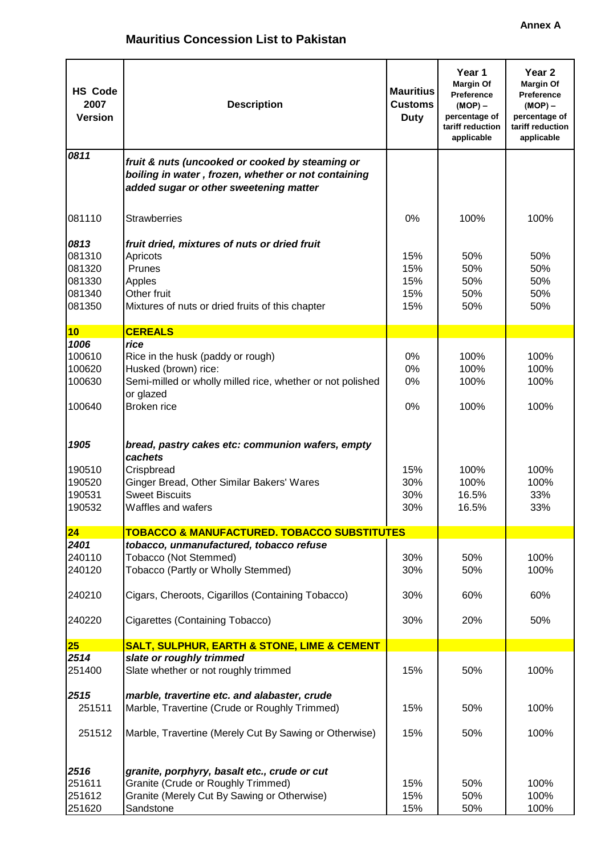| <b>HS Code</b><br>2007<br><b>Version</b>               | <b>Description</b>                                                                                                                                                    | <b>Mauritius</b><br><b>Customs</b><br><b>Duty</b> | Year 1<br><b>Margin Of</b><br><b>Preference</b><br>$(MOP) -$<br>percentage of<br>tariff reduction<br>applicable | Year <sub>2</sub><br><b>Margin Of</b><br><b>Preference</b><br>$(MOP) -$<br>percentage of<br>tariff reduction<br>applicable |
|--------------------------------------------------------|-----------------------------------------------------------------------------------------------------------------------------------------------------------------------|---------------------------------------------------|-----------------------------------------------------------------------------------------------------------------|----------------------------------------------------------------------------------------------------------------------------|
| 0811                                                   | fruit & nuts (uncooked or cooked by steaming or<br>boiling in water, frozen, whether or not containing<br>added sugar or other sweetening matter                      |                                                   |                                                                                                                 |                                                                                                                            |
| 081110                                                 | <b>Strawberries</b>                                                                                                                                                   | 0%                                                | 100%                                                                                                            | 100%                                                                                                                       |
| 0813<br>081310<br>081320<br>081330<br>081340<br>081350 | fruit dried, mixtures of nuts or dried fruit<br>Apricots<br>Prunes<br>Apples<br>Other fruit<br>Mixtures of nuts or dried fruits of this chapter                       | 15%<br>15%<br>15%<br>15%<br>15%                   | 50%<br>50%<br>50%<br>50%<br>50%                                                                                 | 50%<br>50%<br>50%<br>50%<br>50%                                                                                            |
| 10                                                     | <b>CEREALS</b>                                                                                                                                                        |                                                   |                                                                                                                 |                                                                                                                            |
| 1006<br>100610<br>100620<br>100630<br>100640           | rice<br>Rice in the husk (paddy or rough)<br>Husked (brown) rice:<br>Semi-milled or wholly milled rice, whether or not polished<br>or glazed<br>Broken rice           | 0%<br>0%<br>0%<br>0%                              | 100%<br>100%<br>100%<br>100%                                                                                    | 100%<br>100%<br>100%<br>100%                                                                                               |
| 1905<br>190510<br>190520<br>190531<br>190532           | bread, pastry cakes etc: communion wafers, empty<br>cachets<br>Crispbread<br>Ginger Bread, Other Similar Bakers' Wares<br><b>Sweet Biscuits</b><br>Waffles and wafers | 15%<br>30%<br>30%<br>30%                          | 100%<br>100%<br>16.5%<br>16.5%                                                                                  | 100%<br>100%<br>33%<br>33%                                                                                                 |
| 24                                                     | <b>TOBACCO &amp; MANUFACTURED. TOBACCO SUBSTITUTES</b>                                                                                                                |                                                   |                                                                                                                 |                                                                                                                            |
| 2401<br>240110<br>240120                               | tobacco, unmanufactured, tobacco refuse<br>Tobacco (Not Stemmed)<br>Tobacco (Partly or Wholly Stemmed)                                                                | 30%<br>30%                                        | 50%<br>50%                                                                                                      | 100%<br>100%                                                                                                               |
| 240210<br>240220                                       | Cigars, Cheroots, Cigarillos (Containing Tobacco)<br>Cigarettes (Containing Tobacco)                                                                                  | 30%<br>30%                                        | 60%<br>20%                                                                                                      | 60%<br>50%                                                                                                                 |
|                                                        |                                                                                                                                                                       |                                                   |                                                                                                                 |                                                                                                                            |
| 25<br>2514                                             | <b>SALT, SULPHUR, EARTH &amp; STONE, LIME &amp; CEMENT</b><br>slate or roughly trimmed                                                                                |                                                   |                                                                                                                 |                                                                                                                            |
| 251400                                                 | Slate whether or not roughly trimmed                                                                                                                                  | 15%                                               | 50%                                                                                                             | 100%                                                                                                                       |
| 2515<br>251511<br>251512                               | marble, travertine etc. and alabaster, crude<br>Marble, Travertine (Crude or Roughly Trimmed)<br>Marble, Travertine (Merely Cut By Sawing or Otherwise)               | 15%<br>15%                                        | 50%<br>50%                                                                                                      | 100%<br>100%                                                                                                               |
| 2516<br>251611<br>251612<br>251620                     | granite, porphyry, basalt etc., crude or cut<br>Granite (Crude or Roughly Trimmed)<br>Granite (Merely Cut By Sawing or Otherwise)<br>Sandstone                        | 15%<br>15%<br>15%                                 | 50%<br>50%<br>50%                                                                                               | 100%<br>100%<br>100%                                                                                                       |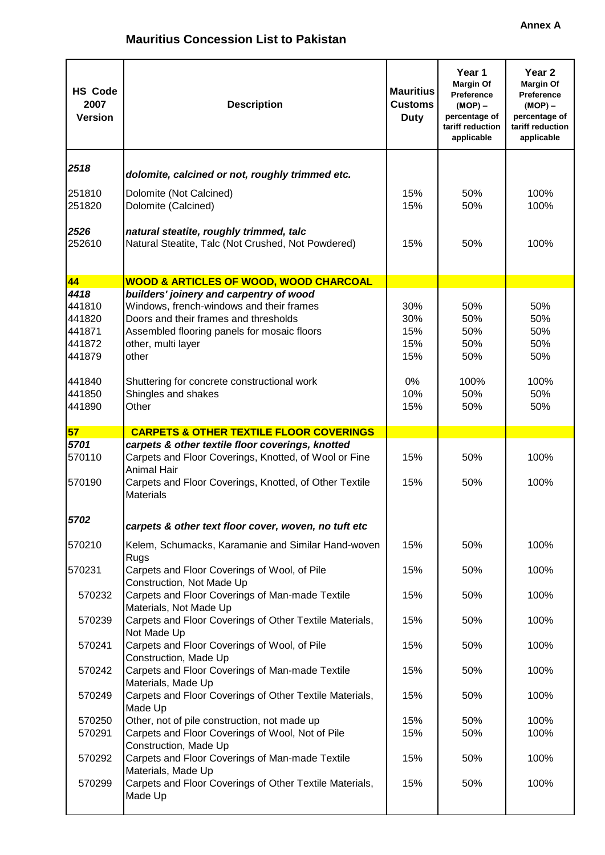| <b>HS Code</b><br>2007<br><b>Version</b>               | <b>Description</b>                                                                                                                                                                                         | <b>Mauritius</b><br><b>Customs</b><br><b>Duty</b> | Year 1<br><b>Margin Of</b><br>Preference<br>$(MOP) -$<br>percentage of<br>tariff reduction<br>applicable | Year 2<br><b>Margin Of</b><br><b>Preference</b><br>$(MOP) -$<br>percentage of<br>tariff reduction<br>applicable |
|--------------------------------------------------------|------------------------------------------------------------------------------------------------------------------------------------------------------------------------------------------------------------|---------------------------------------------------|----------------------------------------------------------------------------------------------------------|-----------------------------------------------------------------------------------------------------------------|
| 2518                                                   | dolomite, calcined or not, roughly trimmed etc.                                                                                                                                                            |                                                   |                                                                                                          |                                                                                                                 |
| 251810<br>251820                                       | Dolomite (Not Calcined)<br>Dolomite (Calcined)                                                                                                                                                             | 15%<br>15%                                        | 50%<br>50%                                                                                               | 100%<br>100%                                                                                                    |
| 2526<br>252610                                         | natural steatite, roughly trimmed, talc<br>Natural Steatite, Talc (Not Crushed, Not Powdered)                                                                                                              | 15%                                               | 50%                                                                                                      | 100%                                                                                                            |
| 44                                                     | <b>WOOD &amp; ARTICLES OF WOOD, WOOD CHARCOAL</b>                                                                                                                                                          |                                                   |                                                                                                          |                                                                                                                 |
| 4418<br>441810<br>441820<br>441871<br>441872<br>441879 | builders' joinery and carpentry of wood<br>Windows, french-windows and their frames<br>Doors and their frames and thresholds<br>Assembled flooring panels for mosaic floors<br>other, multi layer<br>other | 30%<br>30%<br>15%<br>15%<br>15%                   | 50%<br>50%<br>50%<br>50%<br>50%                                                                          | 50%<br>50%<br>50%<br>50%<br>50%                                                                                 |
| 441840<br>441850<br>441890                             | Shuttering for concrete constructional work<br>Shingles and shakes<br>Other                                                                                                                                | $0\%$<br>10%<br>15%                               | 100%<br>50%<br>50%                                                                                       | 100%<br>50%<br>50%                                                                                              |
| 57                                                     | <b>CARPETS &amp; OTHER TEXTILE FLOOR COVERINGS</b>                                                                                                                                                         |                                                   |                                                                                                          |                                                                                                                 |
| 5701<br>570110<br>570190                               | carpets & other textile floor coverings, knotted<br>Carpets and Floor Coverings, Knotted, of Wool or Fine<br><b>Animal Hair</b><br>Carpets and Floor Coverings, Knotted, of Other Textile                  | 15%<br>15%                                        | 50%<br>50%                                                                                               | 100%<br>100%                                                                                                    |
| 5702                                                   | <b>Materials</b><br>carpets & other text floor cover, woven, no tuft etc                                                                                                                                   |                                                   |                                                                                                          |                                                                                                                 |
| 570210                                                 | Kelem, Schumacks, Karamanie and Similar Hand-woven<br>Rugs                                                                                                                                                 | 15%                                               | 50%                                                                                                      | 100%                                                                                                            |
| 570231                                                 | Carpets and Floor Coverings of Wool, of Pile<br>Construction, Not Made Up                                                                                                                                  | 15%                                               | 50%                                                                                                      | 100%                                                                                                            |
| 570232                                                 | Carpets and Floor Coverings of Man-made Textile<br>Materials, Not Made Up                                                                                                                                  | 15%                                               | 50%                                                                                                      | 100%                                                                                                            |
| 570239                                                 | Carpets and Floor Coverings of Other Textile Materials,<br>Not Made Up                                                                                                                                     | 15%                                               | 50%                                                                                                      | 100%                                                                                                            |
| 570241<br>570242                                       | Carpets and Floor Coverings of Wool, of Pile<br>Construction, Made Up<br>Carpets and Floor Coverings of Man-made Textile                                                                                   | 15%<br>15%                                        | 50%<br>50%                                                                                               | 100%<br>100%                                                                                                    |
| 570249                                                 | Materials, Made Up<br>Carpets and Floor Coverings of Other Textile Materials,                                                                                                                              | 15%                                               | 50%                                                                                                      | 100%                                                                                                            |
| 570250                                                 | Made Up<br>Other, not of pile construction, not made up                                                                                                                                                    | 15%                                               | 50%                                                                                                      | 100%                                                                                                            |
| 570291                                                 | Carpets and Floor Coverings of Wool, Not of Pile<br>Construction, Made Up                                                                                                                                  | 15%                                               | 50%                                                                                                      | 100%                                                                                                            |
| 570292                                                 | Carpets and Floor Coverings of Man-made Textile<br>Materials, Made Up                                                                                                                                      | 15%                                               | 50%                                                                                                      | 100%                                                                                                            |
| 570299                                                 | Carpets and Floor Coverings of Other Textile Materials,<br>Made Up                                                                                                                                         | 15%                                               | 50%                                                                                                      | 100%                                                                                                            |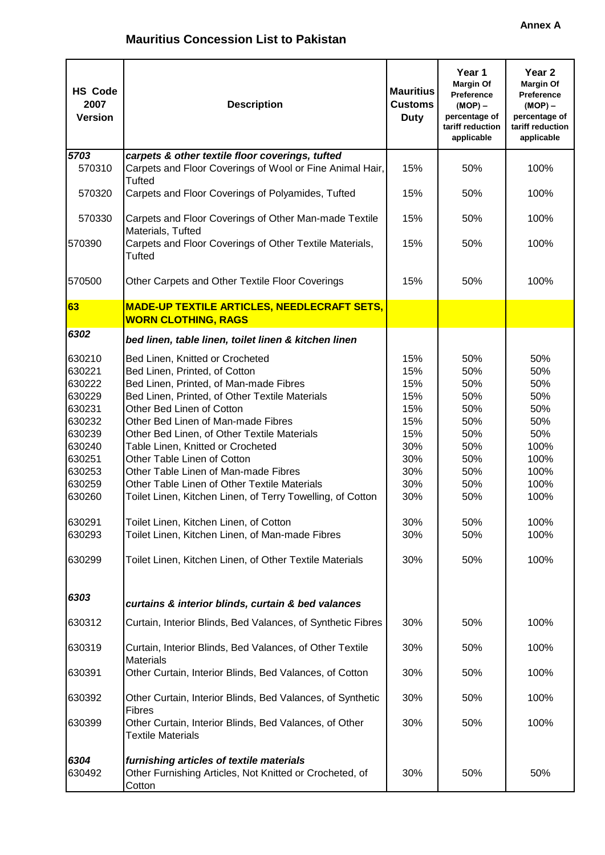| <b>HS Code</b><br>2007<br><b>Version</b>                                                                                                           | <b>Description</b>                                                                                                                                                                                                                                                                                                                                                                                                                                                                                                                                                                                                                                               | <b>Mauritius</b><br><b>Customs</b><br><b>Duty</b>                                                     | Year 1<br><b>Margin Of</b><br><b>Preference</b><br>$(MOP)$ –<br>percentage of<br>tariff reduction<br>applicable | Year <sub>2</sub><br><b>Margin Of</b><br><b>Preference</b><br>$(MOP)$ –<br>percentage of<br>tariff reduction<br>applicable |
|----------------------------------------------------------------------------------------------------------------------------------------------------|------------------------------------------------------------------------------------------------------------------------------------------------------------------------------------------------------------------------------------------------------------------------------------------------------------------------------------------------------------------------------------------------------------------------------------------------------------------------------------------------------------------------------------------------------------------------------------------------------------------------------------------------------------------|-------------------------------------------------------------------------------------------------------|-----------------------------------------------------------------------------------------------------------------|----------------------------------------------------------------------------------------------------------------------------|
| 5703<br>570310                                                                                                                                     | carpets & other textile floor coverings, tufted<br>Carpets and Floor Coverings of Wool or Fine Animal Hair,                                                                                                                                                                                                                                                                                                                                                                                                                                                                                                                                                      | 15%                                                                                                   | 50%                                                                                                             | 100%                                                                                                                       |
| 570320                                                                                                                                             | <b>Tufted</b><br>Carpets and Floor Coverings of Polyamides, Tufted                                                                                                                                                                                                                                                                                                                                                                                                                                                                                                                                                                                               | 15%                                                                                                   | 50%                                                                                                             | 100%                                                                                                                       |
| 570330                                                                                                                                             | Carpets and Floor Coverings of Other Man-made Textile<br>Materials, Tufted                                                                                                                                                                                                                                                                                                                                                                                                                                                                                                                                                                                       | 15%                                                                                                   | 50%                                                                                                             | 100%                                                                                                                       |
| 570390                                                                                                                                             | Carpets and Floor Coverings of Other Textile Materials,<br><b>Tufted</b>                                                                                                                                                                                                                                                                                                                                                                                                                                                                                                                                                                                         | 15%                                                                                                   | 50%                                                                                                             | 100%                                                                                                                       |
| 570500                                                                                                                                             | Other Carpets and Other Textile Floor Coverings                                                                                                                                                                                                                                                                                                                                                                                                                                                                                                                                                                                                                  | 15%                                                                                                   | 50%                                                                                                             | 100%                                                                                                                       |
| 63                                                                                                                                                 | <b>MADE-UP TEXTILE ARTICLES, NEEDLECRAFT SETS,</b>                                                                                                                                                                                                                                                                                                                                                                                                                                                                                                                                                                                                               |                                                                                                       |                                                                                                                 |                                                                                                                            |
|                                                                                                                                                    | <b>WORN CLOTHING, RAGS</b>                                                                                                                                                                                                                                                                                                                                                                                                                                                                                                                                                                                                                                       |                                                                                                       |                                                                                                                 |                                                                                                                            |
| 6302                                                                                                                                               | bed linen, table linen, toilet linen & kitchen linen                                                                                                                                                                                                                                                                                                                                                                                                                                                                                                                                                                                                             |                                                                                                       |                                                                                                                 |                                                                                                                            |
| 630210<br>630221<br>630222<br>630229<br>630231<br>630232<br>630239<br>630240<br>630251<br>630253<br>630259<br>630260<br>630291<br>630293<br>630299 | Bed Linen, Knitted or Crocheted<br>Bed Linen, Printed, of Cotton<br>Bed Linen, Printed, of Man-made Fibres<br>Bed Linen, Printed, of Other Textile Materials<br>Other Bed Linen of Cotton<br>Other Bed Linen of Man-made Fibres<br>Other Bed Linen, of Other Textile Materials<br>Table Linen, Knitted or Crocheted<br>Other Table Linen of Cotton<br>Other Table Linen of Man-made Fibres<br>Other Table Linen of Other Textile Materials<br>Toilet Linen, Kitchen Linen, of Terry Towelling, of Cotton<br>Toilet Linen, Kitchen Linen, of Cotton<br>Toilet Linen, Kitchen Linen, of Man-made Fibres<br>Toilet Linen, Kitchen Linen, of Other Textile Materials | 15%<br>15%<br>15%<br>15%<br>15%<br>15%<br>15%<br>30%<br>30%<br>30%<br>30%<br>30%<br>30%<br>30%<br>30% | 50%<br>50%<br>50%<br>50%<br>50%<br>50%<br>50%<br>50%<br>50%<br>50%<br>50%<br>50%<br>50%<br>50%<br>50%           | 50%<br>50%<br>50%<br>50%<br>50%<br>50%<br>50%<br>100%<br>100%<br>100%<br>100%<br>100%<br>100%<br>100%<br>100%              |
| 6303                                                                                                                                               | curtains & interior blinds, curtain & bed valances                                                                                                                                                                                                                                                                                                                                                                                                                                                                                                                                                                                                               |                                                                                                       |                                                                                                                 |                                                                                                                            |
| 630312                                                                                                                                             | Curtain, Interior Blinds, Bed Valances, of Synthetic Fibres                                                                                                                                                                                                                                                                                                                                                                                                                                                                                                                                                                                                      | 30%                                                                                                   | 50%                                                                                                             | 100%                                                                                                                       |
| 630319                                                                                                                                             | Curtain, Interior Blinds, Bed Valances, of Other Textile<br><b>Materials</b>                                                                                                                                                                                                                                                                                                                                                                                                                                                                                                                                                                                     | 30%                                                                                                   | 50%                                                                                                             | 100%                                                                                                                       |
| 630391                                                                                                                                             | Other Curtain, Interior Blinds, Bed Valances, of Cotton                                                                                                                                                                                                                                                                                                                                                                                                                                                                                                                                                                                                          | 30%                                                                                                   | 50%                                                                                                             | 100%                                                                                                                       |
| 630392                                                                                                                                             | Other Curtain, Interior Blinds, Bed Valances, of Synthetic<br><b>Fibres</b>                                                                                                                                                                                                                                                                                                                                                                                                                                                                                                                                                                                      | 30%                                                                                                   | 50%                                                                                                             | 100%                                                                                                                       |
| 630399                                                                                                                                             | Other Curtain, Interior Blinds, Bed Valances, of Other<br><b>Textile Materials</b>                                                                                                                                                                                                                                                                                                                                                                                                                                                                                                                                                                               | 30%                                                                                                   | 50%                                                                                                             | 100%                                                                                                                       |
| 6304<br>630492                                                                                                                                     | furnishing articles of textile materials<br>Other Furnishing Articles, Not Knitted or Crocheted, of<br>Cotton                                                                                                                                                                                                                                                                                                                                                                                                                                                                                                                                                    | 30%                                                                                                   | 50%                                                                                                             | 50%                                                                                                                        |